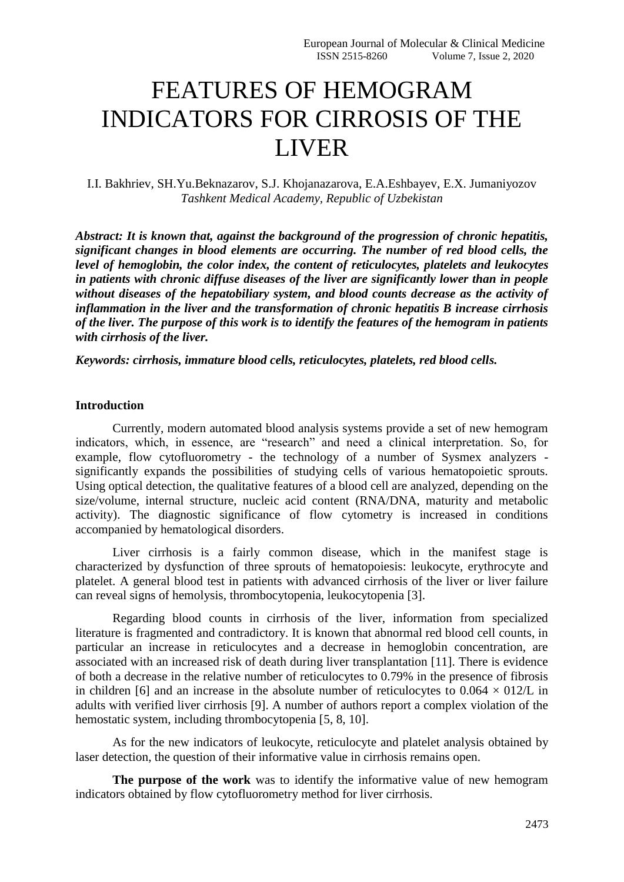# FEATURES OF HEMOGRAM INDICATORS FOR CIRROSIS OF THE LIVER

I.I. Bakhriev, SH.Yu.Beknazarov, S.J. Khojanazarova, E.A.Eshbayev, E.X. Jumaniyozov *Tashkent Medical Academy, Republic of Uzbekistan*

*Abstract: It is known that, against the background of the progression of chronic hepatitis, significant changes in blood elements are occurring. The number of red blood cells, the level of hemoglobin, the color index, the content of reticulocytes, platelets and leukocytes in patients with chronic diffuse diseases of the liver are significantly lower than in people without diseases of the hepatobiliary system, and blood counts decrease as the activity of inflammation in the liver and the transformation of chronic hepatitis B increase cirrhosis of the liver. The purpose of this work is to identify the features of the hemogram in patients with cirrhosis of the liver.*

*Keywords: cirrhosis, immature blood cells, reticulocytes, platelets, red blood cells.*

# **Introduction**

Currently, modern automated blood analysis systems provide a set of new hemogram indicators, which, in essence, are "research" and need a clinical interpretation. So, for example, flow cytofluorometry - the technology of a number of Sysmex analyzers significantly expands the possibilities of studying cells of various hematopoietic sprouts. Using optical detection, the qualitative features of a blood cell are analyzed, depending on the size/volume, internal structure, nucleic acid content (RNA/DNA, maturity and metabolic activity). The diagnostic significance of flow cytometry is increased in conditions accompanied by hematological disorders.

Liver cirrhosis is a fairly common disease, which in the manifest stage is characterized by dysfunction of three sprouts of hematopoiesis: leukocyte, erythrocyte and platelet. A general blood test in patients with advanced cirrhosis of the liver or liver failure can reveal signs of hemolysis, thrombocytopenia, leukocytopenia [3].

Regarding blood counts in cirrhosis of the liver, information from specialized literature is fragmented and contradictory. It is known that abnormal red blood cell counts, in particular an increase in reticulocytes and a decrease in hemoglobin concentration, are associated with an increased risk of death during liver transplantation [11]. There is evidence of both a decrease in the relative number of reticulocytes to 0.79% in the presence of fibrosis in children [6] and an increase in the absolute number of reticulocytes to  $0.064 \times 012$ /L in adults with verified liver cirrhosis [9]. A number of authors report a complex violation of the hemostatic system, including thrombocytopenia [5, 8, 10].

As for the new indicators of leukocyte, reticulocyte and platelet analysis obtained by laser detection, the question of their informative value in cirrhosis remains open.

**The purpose of the work** was to identify the informative value of new hemogram indicators obtained by flow cytofluorometry method for liver cirrhosis.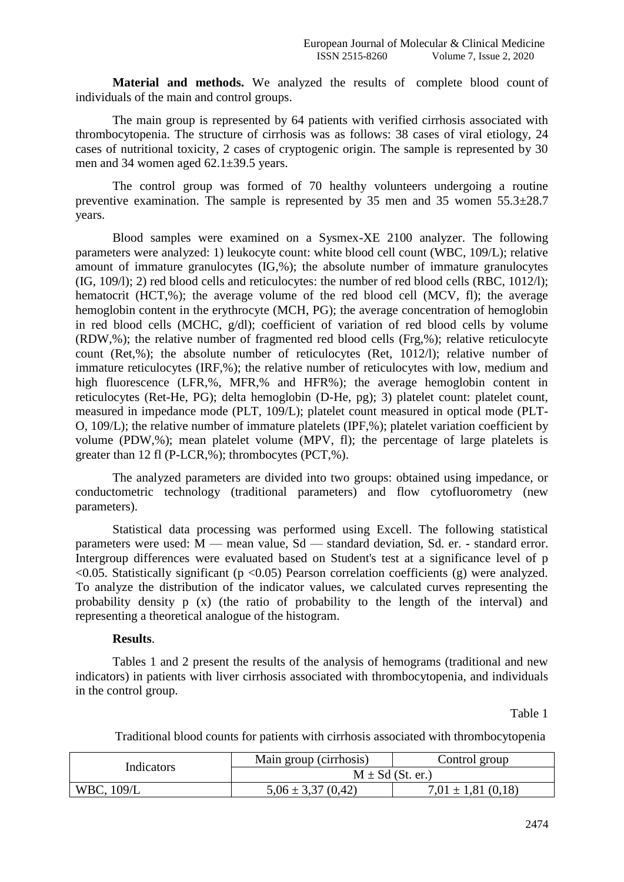**Material and methods.** We analyzed the results of complete blood count of individuals of the main and control groups.

The main group is represented by 64 patients with verified cirrhosis associated with thrombocytopenia. The structure of cirrhosis was as follows: 38 cases of viral etiology, 24 cases of nutritional toxicity, 2 cases of cryptogenic origin. The sample is represented by 30 men and 34 women aged 62.1±39.5 years.

The control group was formed of 70 healthy volunteers undergoing a routine preventive examination. The sample is represented by 35 men and 35 women  $55.3\pm28.7$ years.

Blood samples were examined on a Sysmex-XE 2100 analyzer. The following parameters were analyzed: 1) leukocyte count: white blood cell count (WBC, 109/L); relative amount of immature granulocytes (IG,%); the absolute number of immature granulocytes (IG, 109/l); 2) red blood cells and reticulocytes: the number of red blood cells (RBC, 1012/l); hematocrit (HCT,%); the average volume of the red blood cell (MCV, fl); the average hemoglobin content in the erythrocyte (MCH, PG); the average concentration of hemoglobin in red blood cells (MCHC, g/dl); coefficient of variation of red blood cells by volume (RDW,%); the relative number of fragmented red blood cells (Frg,%); relative reticulocyte count (Ret,%); the absolute number of reticulocytes (Ret, 1012/l); relative number of immature reticulocytes (IRF,%); the relative number of reticulocytes with low, medium and high fluorescence (LFR,%, MFR,% and HFR%); the average hemoglobin content in reticulocytes (Ret-He, PG); delta hemoglobin (D-He, pg); 3) platelet count: platelet count, measured in impedance mode (PLT, 109/L); platelet count measured in optical mode (PLT-O, 109/L); the relative number of immature platelets (IPF,%); platelet variation coefficient by volume (PDW,%); mean platelet volume (MPV, fl); the percentage of large platelets is greater than 12 fl (P-LCR,%); thrombocytes (PCT,%).

The analyzed parameters are divided into two groups: obtained using impedance, or conductometric technology (traditional parameters) and flow cytofluorometry (new parameters).

Statistical data processing was performed using Excell. The following statistical parameters were used: M — mean value, Sd — standard deviation, Sd. er. - standard error. Intergroup differences were evaluated based on Student's test at a significance level of p  $\leq 0.05$ . Statistically significant (p  $\leq 0.05$ ) Pearson correlation coefficients (g) were analyzed. To analyze the distribution of the indicator values, we calculated curves representing the probability density p (x) (the ratio of probability to the length of the interval) and representing a theoretical analogue of the histogram.

### **Results**.

Tables 1 and 2 present the results of the analysis of hemograms (traditional and new indicators) in patients with liver cirrhosis associated with thrombocytopenia, and individuals in the control group.

Table 1

Traditional blood counts for patients with cirrhosis associated with thrombocytopenia

| Indicators | Main group (cirrhosis) | Control group          |
|------------|------------------------|------------------------|
|            | $M \pm Sd$ (St. er.)   |                        |
| WBC, 109/L | $5.06 \pm 3.37(0.42)$  | $7,01 \pm 1,81$ (0,18) |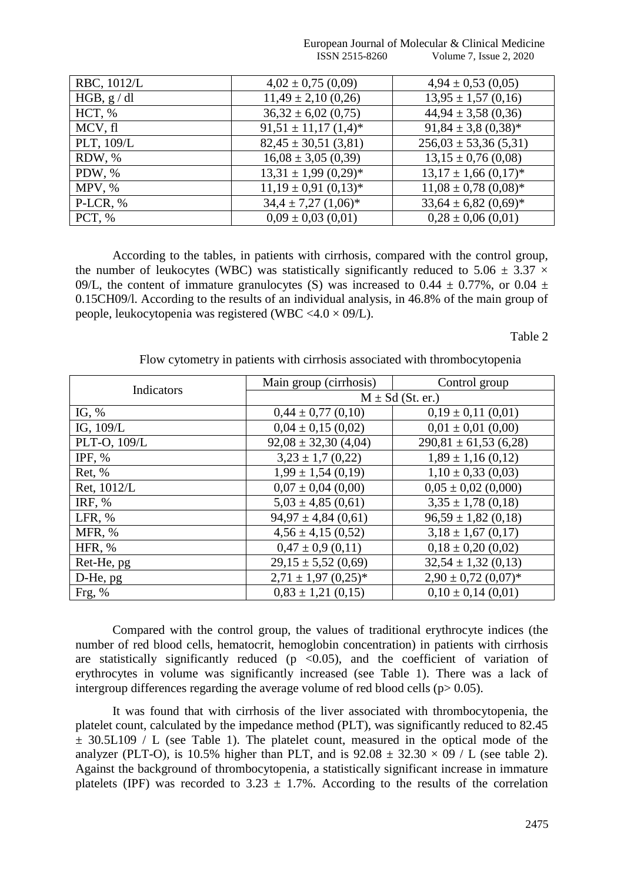| RBC, 1012/L | $4,02 \pm 0,75(0,09)$       | $4,94 \pm 0,53(0,05)$       |
|-------------|-----------------------------|-----------------------------|
| HGB, g/dl   | $11,49 \pm 2,10(0,26)$      | $13,95 \pm 1,57(0,16)$      |
| HCT, %      | $36,32 \pm 6,02$ (0,75)     | $44,94 \pm 3,58$ (0,36)     |
| MCV, fl     | $91,51 \pm 11,17$ $(1,4)^*$ | $91,84 \pm 3,8$ $(0,38)^*$  |
| PLT, 109/L  | $82,45 \pm 30,51$ (3,81)    | $256,03 \pm 53,36(5,31)$    |
| RDW, %      | $16,08 \pm 3,05$ (0,39)     | $13,15 \pm 0,76(0,08)$      |
| PDW, %      | $13,31 \pm 1,99$ $(0,29)^*$ | $13,17 \pm 1,66$ $(0,17)^*$ |
| MPV, %      | $11,19 \pm 0.91 \ (0.13)^*$ | $11,08 \pm 0,78$ (0,08)*    |
| $P-LCR, %$  | $34,4 \pm 7,27$ $(1,06)^*$  | $33,64 \pm 6,82$ (0,69)*    |
| PCT, %      | $0.09 \pm 0.03$ (0.01)      | $0.28 \pm 0.06(0.01)$       |

 European Journal of Molecular & Clinical Medicine ISSN 2515-8260 Volume 7, Issue 2, 2020

According to the tables, in patients with cirrhosis, compared with the control group, the number of leukocytes (WBC) was statistically significantly reduced to 5.06  $\pm$  3.37  $\times$ 09/L, the content of immature granulocytes (S) was increased to 0.44  $\pm$  0.77%, or 0.04  $\pm$ 0.15CH09/l. According to the results of an individual analysis, in 46.8% of the main group of people, leukocytopenia was registered (WBC <4.0 × 09/L).

Table 2

| Indicators   | Main group (cirrhosis)    | Control group              |
|--------------|---------------------------|----------------------------|
|              | $M \pm Sd$ (St. er.)      |                            |
| IG, $%$      | $0,44 \pm 0,77$ (0,10)    | $0,19 \pm 0,11(0,01)$      |
| IG, 109/L    | $0,04 \pm 0,15(0,02)$     | $0.01 \pm 0.01$ (0.00)     |
| PLT-O, 109/L | $92,08 \pm 32,30$ (4,04)  | $290,81 \pm 61,53(6,28)$   |
| IPF, $%$     | $3,23 \pm 1,7$ (0,22)     | $1,89 \pm 1,16(0,12)$      |
| Ret, %       | $1,99 \pm 1,54(0,19)$     | $1,10 \pm 0,33$ (0,03)     |
| Ret, 1012/L  | $0.07 \pm 0.04$ (0.00)    | $0,05 \pm 0,02$ (0,000)    |
| IRF, $%$     | $5,03 \pm 4,85$ (0,61)    | $3,35 \pm 1,78$ (0,18)     |
| LFR, $%$     | $94,97 \pm 4,84$ (0,61)   | $96,59 \pm 1,82$ (0,18)    |
| MFR, %       | $4,56 \pm 4,15(0,52)$     | $3,18 \pm 1,67$ (0,17)     |
| HFR, %       | $0.47 \pm 0.9$ (0.11)     | $0,18 \pm 0,20$ (0,02)     |
| Ret-He, pg   | $29,15 \pm 5,52(0,69)$    | $32,54 \pm 1,32(0,13)$     |
| D-He, pg     | $2,71 \pm 1,97$ $(0,25)*$ | $2,90 \pm 0,72$ $(0,07)^*$ |
| Frg, %       | $0.83 \pm 1.21$ (0.15)    | $0.10 \pm 0.14$ (0.01)     |

Flow cytometry in patients with cirrhosis associated with thrombocytopenia

Compared with the control group, the values of traditional erythrocyte indices (the number of red blood cells, hematocrit, hemoglobin concentration) in patients with cirrhosis are statistically significantly reduced ( $p \le 0.05$ ), and the coefficient of variation of erythrocytes in volume was significantly increased (see Table 1). There was a lack of intergroup differences regarding the average volume of red blood cells ( $p > 0.05$ ).

It was found that with cirrhosis of the liver associated with thrombocytopenia, the platelet count, calculated by the impedance method (PLT), was significantly reduced to 82.45  $\pm$  30.5L109 / L (see Table 1). The platelet count, measured in the optical mode of the analyzer (PLT-O), is 10.5% higher than PLT, and is  $92.08 \pm 32.30 \times 09$  / L (see table 2). Against the background of thrombocytopenia, a statistically significant increase in immature platelets (IPF) was recorded to 3.23  $\pm$  1.7%. According to the results of the correlation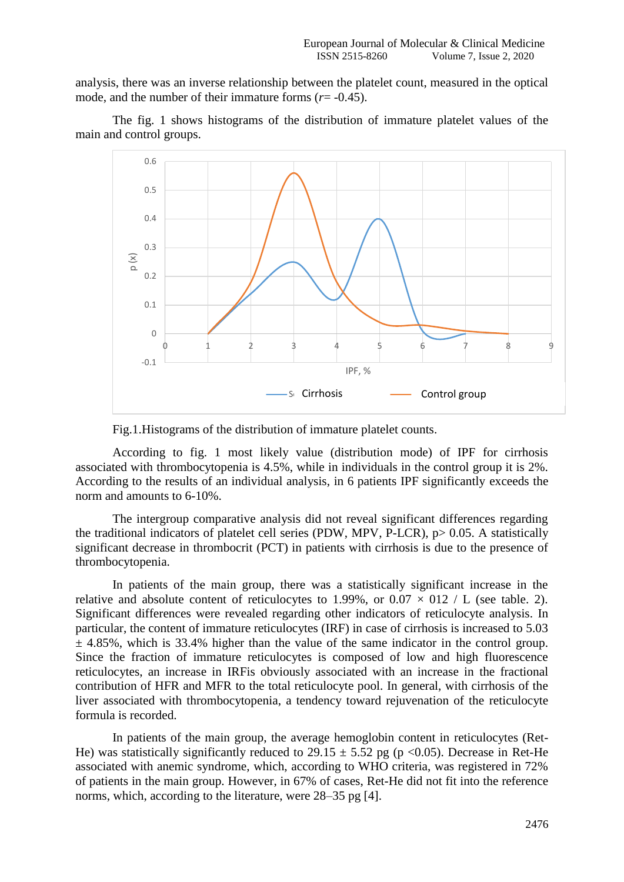analysis, there was an inverse relationship between the platelet count, measured in the optical mode, and the number of their immature forms (*r*= -0.45).

The fig. 1 shows histograms of the distribution of immature platelet values of the main and control groups.



Fig.1.Histograms of the distribution of immature platelet counts.

According to fig. 1 most likely value (distribution mode) of IPF for cirrhosis associated with thrombocytopenia is 4.5%, while in individuals in the control group it is 2%. According to the results of an individual analysis, in 6 patients IPF significantly exceeds the norm and amounts to 6-10%.

The intergroup comparative analysis did not reveal significant differences regarding the traditional indicators of platelet cell series (PDW, MPV, P-LCR), p> 0.05. A statistically significant decrease in thrombocrit (PCT) in patients with cirrhosis is due to the presence of thrombocytopenia.

In patients of the main group, there was a statistically significant increase in the relative and absolute content of reticulocytes to 1.99%, or  $0.07 \times 012 / L$  (see table. 2). Significant differences were revealed regarding other indicators of reticulocyte analysis. In particular, the content of immature reticulocytes (IRF) in case of cirrhosis is increased to 5.03  $\pm$  4.85%, which is 33.4% higher than the value of the same indicator in the control group. Since the fraction of immature reticulocytes is composed of low and high fluorescence reticulocytes, an increase in IRFis obviously associated with an increase in the fractional contribution of HFR and MFR to the total reticulocyte pool. In general, with cirrhosis of the liver associated with thrombocytopenia, a tendency toward rejuvenation of the reticulocyte formula is recorded.

In patients of the main group, the average hemoglobin content in reticulocytes (Ret-He) was statistically significantly reduced to  $29.15 \pm 5.52$  pg (p <0.05). Decrease in Ret-He associated with anemic syndrome, which, according to WHO criteria, was registered in 72% of patients in the main group. However, in 67% of cases, Ret-He did not fit into the reference norms, which, according to the literature, were 28–35 pg [4].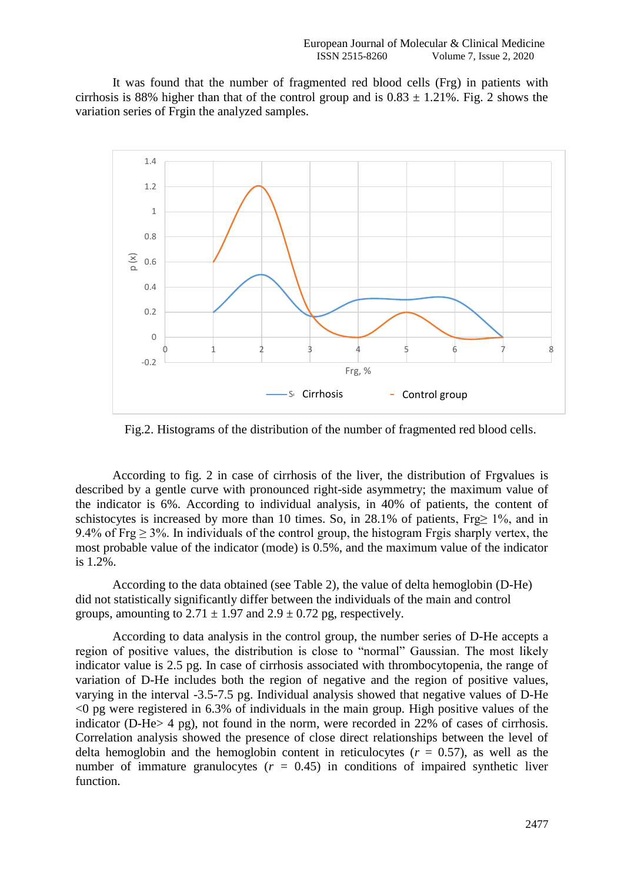It was found that the number of fragmented red blood cells (Frg) in patients with cirrhosis is 88% higher than that of the control group and is  $0.83 \pm 1.21$ %. Fig. 2 shows the variation series of Frgin the analyzed samples.



Fig.2. Histograms of the distribution of the number of fragmented red blood cells.

According to fig. 2 in case of cirrhosis of the liver, the distribution of Frgvalues is described by a gentle curve with pronounced right-side asymmetry; the maximum value of the indicator is 6%. According to individual analysis, in 40% of patients, the content of schistocytes is increased by more than 10 times. So, in 28.1% of patients, Frg≥ 1%, and in 9.4% of Frg  $> 3\%$ . In individuals of the control group, the histogram Frgis sharply vertex, the most probable value of the indicator (mode) is 0.5%, and the maximum value of the indicator is 1.2%.

According to the data obtained (see Table 2), the value of delta hemoglobin (D-He) did not statistically significantly differ between the individuals of the main and control groups, amounting to  $2.71 \pm 1.97$  and  $2.9 \pm 0.72$  pg, respectively.

According to data analysis in the control group, the number series of D-He accepts a region of positive values, the distribution is close to "normal" Gaussian. The most likely indicator value is 2.5 pg. In case of cirrhosis associated with thrombocytopenia, the range of variation of D-He includes both the region of negative and the region of positive values, varying in the interval -3.5-7.5 pg. Individual analysis showed that negative values of D-He  $\leq 0$  pg were registered in 6.3% of individuals in the main group. High positive values of the indicator (D-He> 4 pg), not found in the norm, were recorded in 22% of cases of cirrhosis. Correlation analysis showed the presence of close direct relationships between the level of delta hemoglobin and the hemoglobin content in reticulocytes  $(r = 0.57)$ , as well as the number of immature granulocytes  $(r = 0.45)$  in conditions of impaired synthetic liver function.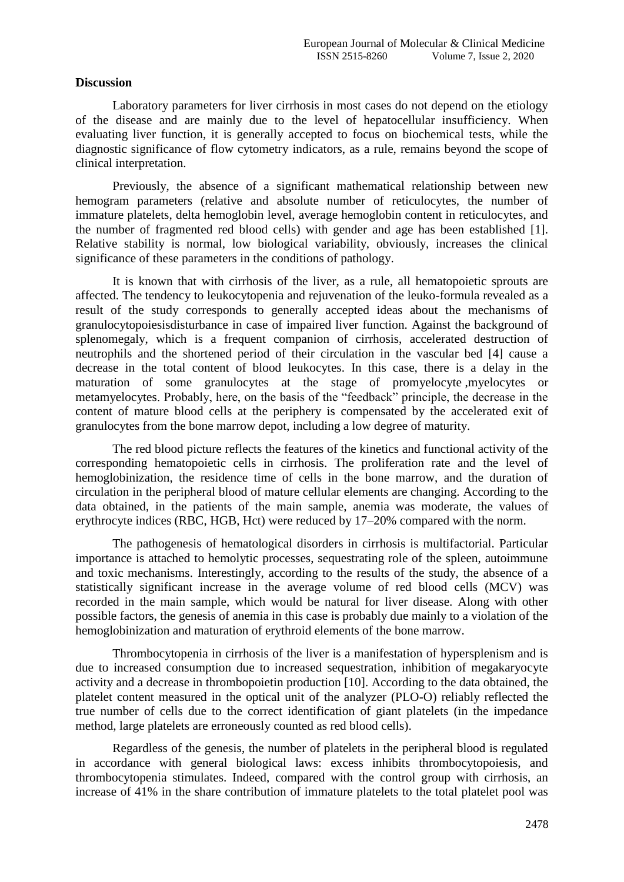## **Discussion**

Laboratory parameters for liver cirrhosis in most cases do not depend on the etiology of the disease and are mainly due to the level of hepatocellular insufficiency. When evaluating liver function, it is generally accepted to focus on biochemical tests, while the diagnostic significance of flow cytometry indicators, as a rule, remains beyond the scope of clinical interpretation.

Previously, the absence of a significant mathematical relationship between new hemogram parameters (relative and absolute number of reticulocytes, the number of immature platelets, delta hemoglobin level, average hemoglobin content in reticulocytes, and the number of fragmented red blood cells) with gender and age has been established [1]. Relative stability is normal, low biological variability, obviously, increases the clinical significance of these parameters in the conditions of pathology.

It is known that with cirrhosis of the liver, as a rule, all hematopoietic sprouts are affected. The tendency to leukocytopenia and rejuvenation of the leuko-formula revealed as a result of the study corresponds to generally accepted ideas about the mechanisms of granulocytopoiesisdisturbance in case of impaired liver function. Against the background of splenomegaly, which is a frequent companion of cirrhosis, accelerated destruction of neutrophils and the shortened period of their circulation in the vascular bed [4] cause a decrease in the total content of blood leukocytes. In this case, there is a delay in the maturation of some granulocytes at the stage of promyelocyte ,myelocytes or metamyelocytes. Probably, here, on the basis of the "feedback" principle, the decrease in the content of mature blood cells at the periphery is compensated by the accelerated exit of granulocytes from the bone marrow depot, including a low degree of maturity.

The red blood picture reflects the features of the kinetics and functional activity of the corresponding hematopoietic cells in cirrhosis. The proliferation rate and the level of hemoglobinization, the residence time of cells in the bone marrow, and the duration of circulation in the peripheral blood of mature cellular elements are changing. According to the data obtained, in the patients of the main sample, anemia was moderate, the values of erythrocyte indices (RBC, HGB, Hct) were reduced by 17–20% compared with the norm.

The pathogenesis of hematological disorders in cirrhosis is multifactorial. Particular importance is attached to hemolytic processes, sequestrating role of the spleen, autoimmune and toxic mechanisms. Interestingly, according to the results of the study, the absence of a statistically significant increase in the average volume of red blood cells (MCV) was recorded in the main sample, which would be natural for liver disease. Along with other possible factors, the genesis of anemia in this case is probably due mainly to a violation of the hemoglobinization and maturation of erythroid elements of the bone marrow.

Thrombocytopenia in cirrhosis of the liver is a manifestation of hypersplenism and is due to increased consumption due to increased sequestration, inhibition of megakaryocyte activity and a decrease in thrombopoietin production [10]. According to the data obtained, the platelet content measured in the optical unit of the analyzer (PLO-O) reliably reflected the true number of cells due to the correct identification of giant platelets (in the impedance method, large platelets are erroneously counted as red blood cells).

Regardless of the genesis, the number of platelets in the peripheral blood is regulated in accordance with general biological laws: excess inhibits thrombocytopoiesis, and thrombocytopenia stimulates. Indeed, compared with the control group with cirrhosis, an increase of 41% in the share contribution of immature platelets to the total platelet pool was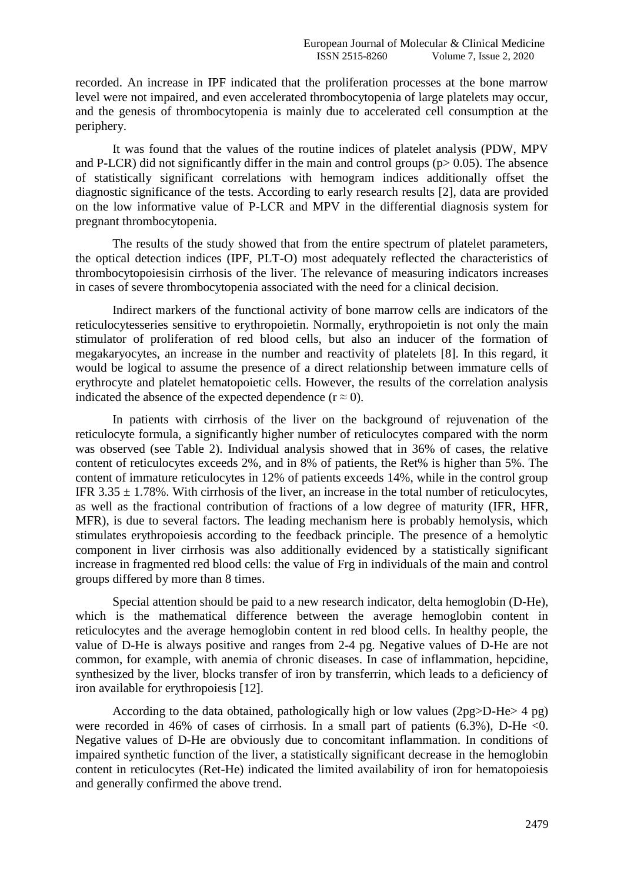recorded. An increase in IPF indicated that the proliferation processes at the bone marrow level were not impaired, and even accelerated thrombocytopenia of large platelets may occur, and the genesis of thrombocytopenia is mainly due to accelerated cell consumption at the periphery.

It was found that the values of the routine indices of platelet analysis (PDW, MPV and P-LCR) did not significantly differ in the main and control groups ( $p > 0.05$ ). The absence of statistically significant correlations with hemogram indices additionally offset the diagnostic significance of the tests. According to early research results [2], data are provided on the low informative value of P-LСR and MPV in the differential diagnosis system for pregnant thrombocytopenia.

The results of the study showed that from the entire spectrum of platelet parameters, the optical detection indices (IPF, PLT-O) most adequately reflected the characteristics of thrombocytopoiesisin cirrhosis of the liver. The relevance of measuring indicators increases in cases of severe thrombocytopenia associated with the need for a clinical decision.

Indirect markers of the functional activity of bone marrow cells are indicators of the reticulocytesseries sensitive to erythropoietin. Normally, erythropoietin is not only the main stimulator of proliferation of red blood cells, but also an inducer of the formation of megakaryocytes, an increase in the number and reactivity of platelets [8]. In this regard, it would be logical to assume the presence of a direct relationship between immature cells of erythrocyte and platelet hematopoietic cells. However, the results of the correlation analysis indicated the absence of the expected dependence ( $r \approx 0$ ).

In patients with cirrhosis of the liver on the background of rejuvenation of the reticulocyte formula, a significantly higher number of reticulocytes compared with the norm was observed (see Table 2). Individual analysis showed that in 36% of cases, the relative content of reticulocytes exceeds 2%, and in 8% of patients, the Ret% is higher than 5%. The content of immature reticulocytes in 12% of patients exceeds 14%, while in the control group IFR  $3.35 \pm 1.78$ %. With cirrhosis of the liver, an increase in the total number of reticulocytes, as well as the fractional contribution of fractions of a low degree of maturity (IFR, HFR, MFR), is due to several factors. The leading mechanism here is probably hemolysis, which stimulates erythropoiesis according to the feedback principle. The presence of a hemolytic component in liver cirrhosis was also additionally evidenced by a statistically significant increase in fragmented red blood cells: the value of Frg in individuals of the main and control groups differed by more than 8 times.

Special attention should be paid to a new research indicator, delta hemoglobin (D-He), which is the mathematical difference between the average hemoglobin content in reticulocytes and the average hemoglobin content in red blood cells. In healthy people, the value of D-He is always positive and ranges from 2-4 pg. Negative values of D-He are not common, for example, with anemia of chronic diseases. In case of inflammation, hepcidine, synthesized by the liver, blocks transfer of iron by transferrin, which leads to a deficiency of iron available for erythropoiesis [12].

According to the data obtained, pathologically high or low values (2pg>D-He> 4 pg) were recorded in 46% of cases of cirrhosis. In a small part of patients  $(6.3\%)$ , D-He <0. Negative values of D-He are obviously due to concomitant inflammation. In conditions of impaired synthetic function of the liver, a statistically significant decrease in the hemoglobin content in reticulocytes (Ret-He) indicated the limited availability of iron for hematopoiesis and generally confirmed the above trend.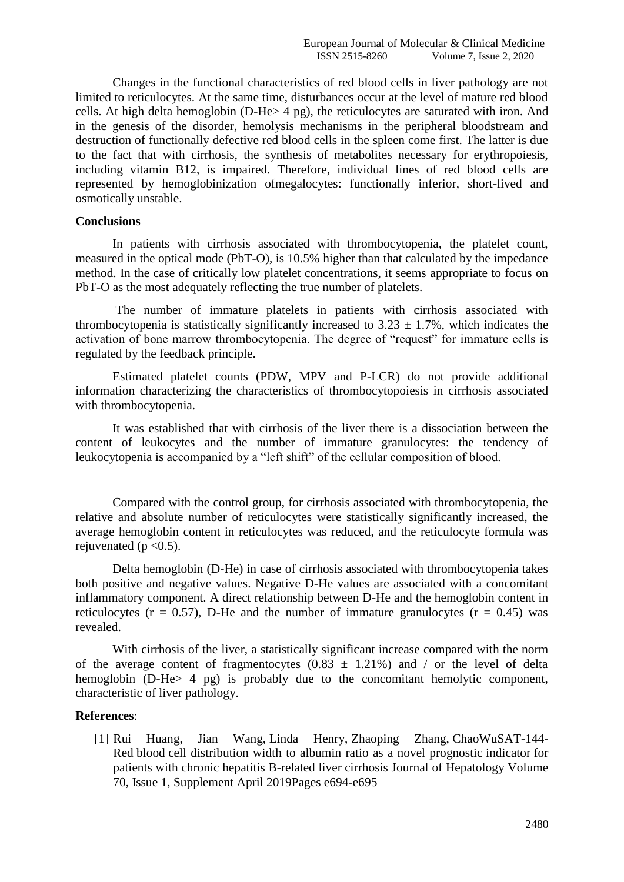Changes in the functional characteristics of red blood cells in liver pathology are not limited to reticulocytes. At the same time, disturbances occur at the level of mature red blood cells. At high delta hemoglobin (D-He> 4 pg), the reticulocytes are saturated with iron. And in the genesis of the disorder, hemolysis mechanisms in the peripheral bloodstream and destruction of functionally defective red blood cells in the spleen come first. The latter is due to the fact that with cirrhosis, the synthesis of metabolites necessary for erythropoiesis, including vitamin B12, is impaired. Therefore, individual lines of red blood cells are represented by hemoglobinization ofmegalocytes: functionally inferior, short-lived and osmotically unstable.

# **Conclusions**

In patients with cirrhosis associated with thrombocytopenia, the platelet count, measured in the optical mode (PbT-O), is 10.5% higher than that calculated by the impedance method. In the case of critically low platelet concentrations, it seems appropriate to focus on PbT-O as the most adequately reflecting the true number of platelets.

The number of immature platelets in patients with cirrhosis associated with thrombocytopenia is statistically significantly increased to  $3.23 \pm 1.7$ %, which indicates the activation of bone marrow thrombocytopenia. The degree of "request" for immature cells is regulated by the feedback principle.

Estimated platelet counts (PDW, MPV and P-LCR) do not provide additional information characterizing the characteristics of thrombocytopoiesis in cirrhosis associated with thrombocytopenia.

It was established that with cirrhosis of the liver there is a dissociation between the content of leukocytes and the number of immature granulocytes: the tendency of leukocytopenia is accompanied by a "left shift" of the cellular composition of blood.

Compared with the control group, for cirrhosis associated with thrombocytopenia, the relative and absolute number of reticulocytes were statistically significantly increased, the average hemoglobin content in reticulocytes was reduced, and the reticulocyte formula was rejuvenated ( $p < 0.5$ ).

Delta hemoglobin (D-He) in case of cirrhosis associated with thrombocytopenia takes both positive and negative values. Negative D-He values are associated with a concomitant inflammatory component. A direct relationship between D-He and the hemoglobin content in reticulocytes ( $r = 0.57$ ), D-He and the number of immature granulocytes ( $r = 0.45$ ) was revealed.

With cirrhosis of the liver, a statistically significant increase compared with the norm of the average content of fragmentocytes  $(0.83 \pm 1.21\%)$  and / or the level of delta hemoglobin (D-He $> 4$  pg) is probably due to the concomitant hemolytic component, characteristic of liver pathology.

### **References**:

[1] Rui Huang, Jian Wang, Linda Henry, Zhaoping Zhang, ChaoW[uSAT-144-](https://www.sciencedirect.com/science/article/pii/S0618827819313830) Red blood cell [distribution](https://www.sciencedirect.com/science/article/pii/S0618827819313830) width to albumin ratio as a novel prognostic indicator for patients with chronic [hepatitis B-related](https://www.sciencedirect.com/science/article/pii/S0618827819313830) liver cirrhosis Journal of [Hepatology](https://www.sciencedirect.com/science/journal/01688278) Volume 70, Issue 1, Supplement April 2019Pages e694-e695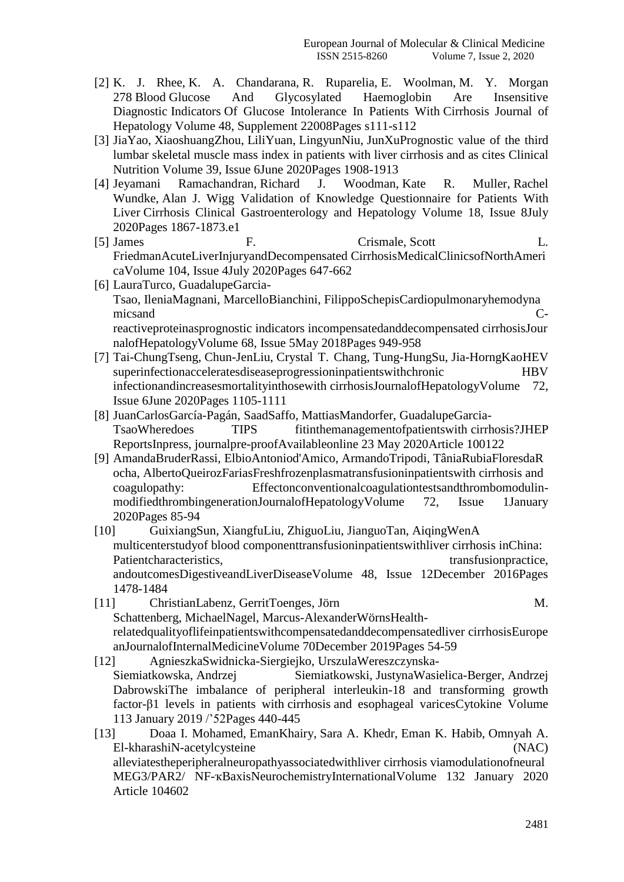- [2] K. J. Rhee, K. A. Chandarana, R. Ruparelia, E. Woolman, M. Y. Morgan 278 Blood [Glucose And Glycosylated Haemoglobin Are Insensitive](https://www.sciencedirect.com/science/article/pii/S0168827808602809)  Diagnostic Indicators [Of Glucose Intolerance In Patients With](https://www.sciencedirect.com/science/article/pii/S0168827808602809) Cirrhosis Journal of Hepatology Volume 48, Supplement 22008Pages s111-s112
- [3] JiaYao, XiaoshuangZhou, LiliYuan, LingyunNiu, JunX[uPrognostic](https://www.sciencedirect.com/science/article/pii/S0261561419330183) value of the third lumbar skeletal muscle mass index in patients with liver [cirrhosis](https://www.sciencedirect.com/science/article/pii/S0261561419330183) and as cites [Clinical](https://www.sciencedirect.com/science/journal/02615614) [Nutrition](https://www.sciencedirect.com/science/journal/02615614) Volume 39, Issue 6June 2020Pages 1908-1913
- [4] Jeyamani Ramachandran, Richard J. Woodman, Kate R. Muller, Rachel Wundke, Alan J. Wigg Validation of Knowledge [Questionnaire](https://www.sciencedirect.com/science/article/pii/S1542356519313850) for Patients With Liver [Cirrhosis](https://www.sciencedirect.com/science/article/pii/S1542356519313850) Clinical [Gastroenterology](https://www.sciencedirect.com/science/journal/15423565) and Hepatology Volume 18, Issue 8July 2020Pages 1867-1873.e1
- [5] James F. Crismale, Scott L. Friedma[nAcuteLiverInjuryandDecompensated](https://www.sciencedirect.com/science/article/pii/S0025712520300183) Cirrhosi[sMedicalClinicsofNorthAmeri](https://www.sciencedirect.com/science/article/pii/S0025712520300183) [caV](https://www.sciencedirect.com/science/journal/00257125)olume 104, Issue 4July 2020Pages 647-662
- [6] LauraTurco, GuadalupeGarcia-Tsao, IleniaMagnani, MarcelloBianchini, FilippoSchepi[sCardiopulmonaryhemodyna](https://www.sciencedirect.com/science/article/pii/S0168827818300114) [micsand C](https://www.sciencedirect.com/science/article/pii/S0168827818300114)reactiveproteinasprognostic indicators [incompensatedanddecompensated](https://www.sciencedirect.com/science/article/pii/S0168827818300114) cirrhosi[sJour](https://www.sciencedirect.com/science/article/pii/S0168827818300114) [nalofHepatologyV](https://www.sciencedirect.com/science/journal/01688278)olume 68, Issue 5May 2018Pages 949-958
- [7] Tai-ChungTseng, Chun-JenLiu, Crystal T. Chang, Tung-HungSu, Jia-HorngKa[oHEV](https://www.sciencedirect.com/science/article/pii/S0168827820300295)  superinfectionacceleratesdiseaseprogressioninpatientswithchronic HBV [infectionandincreasesmortalityinthosewith](https://www.sciencedirect.com/science/article/pii/S0168827820300295) cirrhosi[sJournalofHepatologyV](https://www.sciencedirect.com/science/article/pii/S0168827820300295)olume 72, Issue 6June 2020Pages 1105-1111
- [8] JuanCarlosGarcía-Pagán, SaadSaffo, MattiasMandorfer, GuadalupeGarcia-Tsa[oWheredoes TIPS fitinthemanagementofpatientswith](https://www.sciencedirect.com/science/article/pii/S2589555920300562) cirrhosis[?JHEP](https://www.sciencedirect.com/science/article/pii/S2589555920300562)  [ReportsI](https://www.sciencedirect.com/science/journal/25895559)npress, journalpre-proofAvailableonline 23 May 2020Article 100122
- [9] AmandaBruderRassi, ElbioAntoniod'Amico, ArmandoTripodi, TâniaRubiaFloresdaR ocha, AlbertoQueirozFaria[sFreshfrozenplasmatransfusioninpatientswith](https://www.sciencedirect.com/science/article/pii/S0168827819305446) cirrhosis and [coagulopathy: Effectonconventionalcoagulationtestsandthrombomodulin](https://www.sciencedirect.com/science/article/pii/S0168827819305446)[modifiedthrombingenerationJournalofHepatologyV](https://www.sciencedirect.com/science/article/pii/S0168827819305446)olume 72, Issue 1January 2020Pages 85-94
- [10] GuixiangSun, XiangfuLiu, ZhiguoLiu, JianguoTan, AiqingWe[nA](https://www.sciencedirect.com/science/article/pii/S1590865816306971)  multicenterstudyof blood [componenttransfusioninpatientswithliver](https://www.sciencedirect.com/science/article/pii/S1590865816306971) cirrhosis inChina: [Patientcharacteristics, transfusionpractice,](https://www.sciencedirect.com/science/article/pii/S1590865816306971) transfusionpractice, transfusionpractice, [andoutcomes](https://www.sciencedirect.com/science/article/pii/S1590865816306971)[DigestiveandLiverDiseaseV](https://www.sciencedirect.com/science/journal/15908658)olume 48, Issue 12December 2016Pages 1478-1484
- [11] ChristianLabenz, GerritToenges, Jörn M. Schattenberg, MichaelNagel, Marcus-AlexanderWörn[sHealth](https://www.sciencedirect.com/science/article/pii/S0953620519303176)[relatedqualityoflifeinpatientswithcompensatedanddecompensatedliver](https://www.sciencedirect.com/science/article/pii/S0953620519303176) cirrhosi[sEurope](https://www.sciencedirect.com/science/journal/09536205) [anJournalofInternalMedicineV](https://www.sciencedirect.com/science/journal/09536205)olume 70December 2019Pages 54-59
- [12] AgnieszkaSwidnicka-Siergiejko, UrszulaWereszczynska-Siemiatkowska, Andrzej Siemiatkowski, JustynaWasielica-Berger, Andrzej Dabrowsk[iThe imbalance of peripheral interleukin-18 and transforming growth](https://www.sciencedirect.com/science/article/pii/S1043466618304113)  [factor-β1 levels in patients with](https://www.sciencedirect.com/science/article/pii/S1043466618304113) cirrhosis and esophageal varice[sCytokine](https://www.sciencedirect.com/science/journal/10434666) Volume 113 January 2019 /'52Pages 440-445
- [13] Doaa I. Mohamed, EmanKhairy, Sara A. Khedr, Eman K. Habib, Omnyah A. El-kharash[iN-acetylcysteine \(NAC\)](https://www.sciencedirect.com/science/article/pii/S0197018619304826)  [alleviatestheperipheralneuropathyassociatedwithliver](https://www.sciencedirect.com/science/article/pii/S0197018619304826) cirrhosis viamodulationofneural [MEG3/PAR2/ NF-ҡBaxisNeurochemistryInternationalV](https://www.sciencedirect.com/science/article/pii/S0197018619304826)olume 132 January 2020 Article 104602